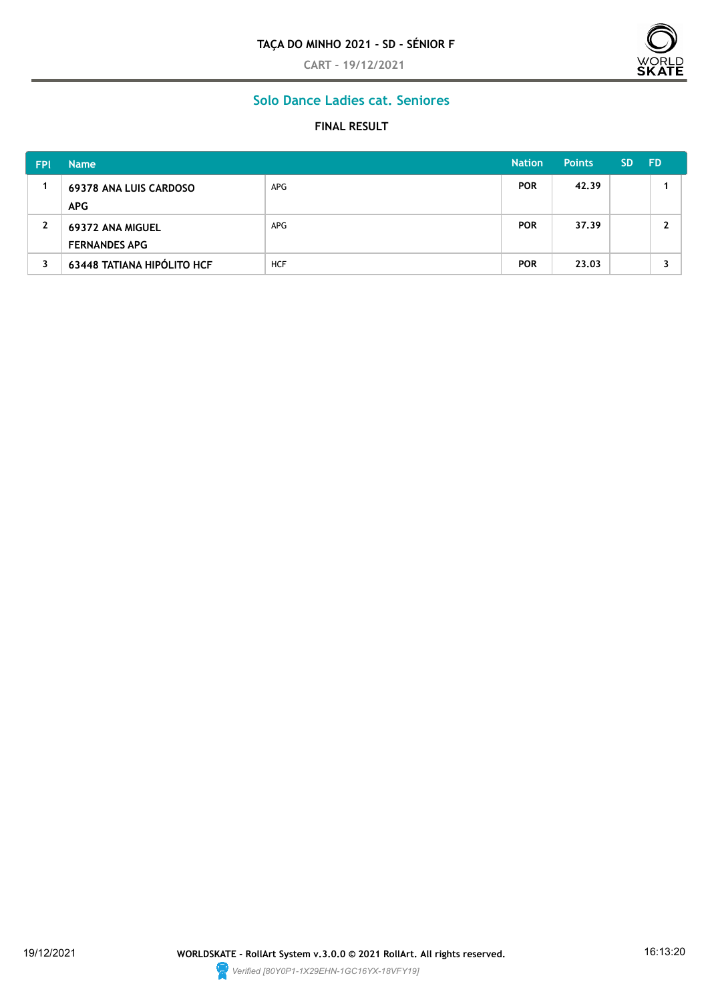#### **TAÇA DO MINHO 2021 - SD - SÉNIOR F**

**CART - 19/12/2021**



# **Solo Dance Ladies cat. Seniores**

### **FINAL RESULT**

| <b>FPI</b> | <b>Name</b>                       |            | <b>Nation</b> | <b>Points</b> | <b>SD</b> | <b>FD</b> |
|------------|-----------------------------------|------------|---------------|---------------|-----------|-----------|
|            | <b>69378 ANA LUIS CARDOSO</b>     | APG        | <b>POR</b>    | 42.39         |           |           |
|            | <b>APG</b>                        |            |               |               |           |           |
| 2          | 69372 ANA MIGUEL                  | APG        | <b>POR</b>    | 37.39         |           |           |
|            | <b>FERNANDES APG</b>              |            |               |               |           |           |
| 3          | <b>63448 TATIANA HIPÓLITO HCF</b> | <b>HCF</b> | <b>POR</b>    | 23.03         |           |           |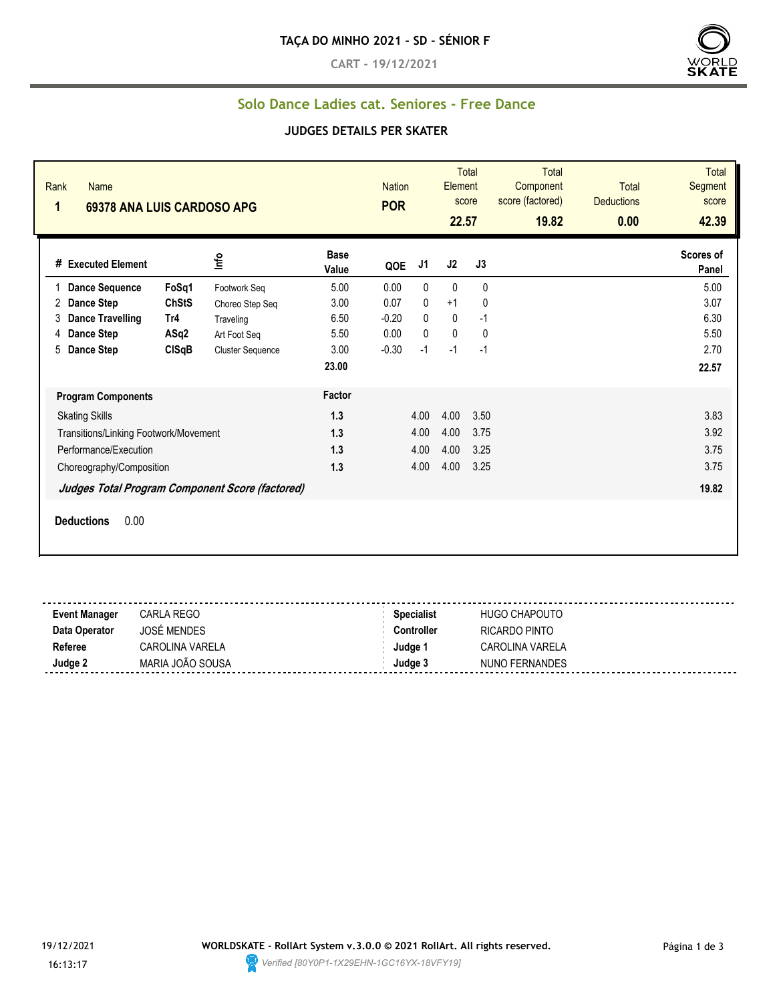**CART - 19/12/2021**



## **Solo Dance Ladies cat. Seniores - Free Dance**

#### **JUDGES DETAILS PER SKATER**

| Rank<br><b>Name</b><br>1<br>69378 ANA LUIS CARDOSO APG |              |                                                 |                      | <b>Nation</b><br><b>POR</b> |                | Element<br>22.57 | Total<br>score | <b>Total</b><br>Component<br>score (factored)<br>19.82 | <b>Total</b><br><b>Deductions</b><br>0.00 | <b>Total</b><br>Segment<br>score<br>42.39 |
|--------------------------------------------------------|--------------|-------------------------------------------------|----------------------|-----------------------------|----------------|------------------|----------------|--------------------------------------------------------|-------------------------------------------|-------------------------------------------|
| # Executed Element                                     |              | Info                                            | <b>Base</b><br>Value | QOE                         | J <sub>1</sub> | J2               | J3             |                                                        |                                           | Scores of<br>Panel                        |
| <b>Dance Sequence</b>                                  | FoSq1        | Footwork Seg                                    | 5.00                 | 0.00                        | 0              | $\mathbf{0}$     | $\mathbf{0}$   |                                                        |                                           | 5.00                                      |
| <b>Dance Step</b><br>2                                 | <b>ChStS</b> | Choreo Step Seq                                 | 3.00                 | 0.07                        | 0              | $+1$             | 0              |                                                        |                                           | 3.07                                      |
| <b>Dance Travelling</b><br>3                           | Tr4          | Traveling                                       | 6.50                 | $-0.20$                     | 0              | $\mathbf{0}$     | $-1$           |                                                        |                                           | 6.30                                      |
| <b>Dance Step</b><br>4                                 | ASq2         | Art Foot Seq                                    | 5.50                 | 0.00                        | 0              | $\mathbf{0}$     | $\mathbf{0}$   |                                                        |                                           | 5.50                                      |
| <b>Dance Step</b><br>5                                 | CISqB        | <b>Cluster Sequence</b>                         | 3.00                 | $-0.30$                     | $-1$           | $-1$             | $-1$           |                                                        |                                           | 2.70                                      |
|                                                        |              |                                                 | 23.00                |                             |                |                  |                |                                                        |                                           | 22.57                                     |
| <b>Program Components</b>                              |              |                                                 | Factor               |                             |                |                  |                |                                                        |                                           |                                           |
| <b>Skating Skills</b>                                  |              |                                                 | 1.3                  |                             | 4.00           | 4.00             | 3.50           |                                                        |                                           | 3.83                                      |
| Transitions/Linking Footwork/Movement                  |              |                                                 | 1.3                  |                             | 4.00           | 4.00             | 3.75           |                                                        |                                           | 3.92                                      |
| Performance/Execution                                  |              |                                                 | 1.3                  |                             | 4.00           | 4.00             | 3.25           |                                                        |                                           | 3.75                                      |
| Choreography/Composition                               |              |                                                 | 1.3                  |                             | 4.00           | 4.00             | 3.25           |                                                        |                                           | 3.75                                      |
|                                                        |              | Judges Total Program Component Score (factored) |                      |                             |                |                  |                |                                                        |                                           | 19.82                                     |
| <b>Deductions</b><br>0.00                              |              |                                                 |                      |                             |                |                  |                |                                                        |                                           |                                           |

| <b>Event Manager</b> | CARLA REGO             | <b>Specialist</b> | <b>HUGO CHAPOUTO</b> |
|----------------------|------------------------|-------------------|----------------------|
| Data Operator        | <b>JOSÉ MENDES</b>     | Controller        | RICARDO PINTO        |
| Referee              | <b>CAROLINA VARELA</b> | Judge             | CAROLINA VARELA      |
| Judge 2              | MARIA JOÃO SOUSA       | Judge 3           | NUNO FERNANDES       |
|                      |                        |                   |                      |

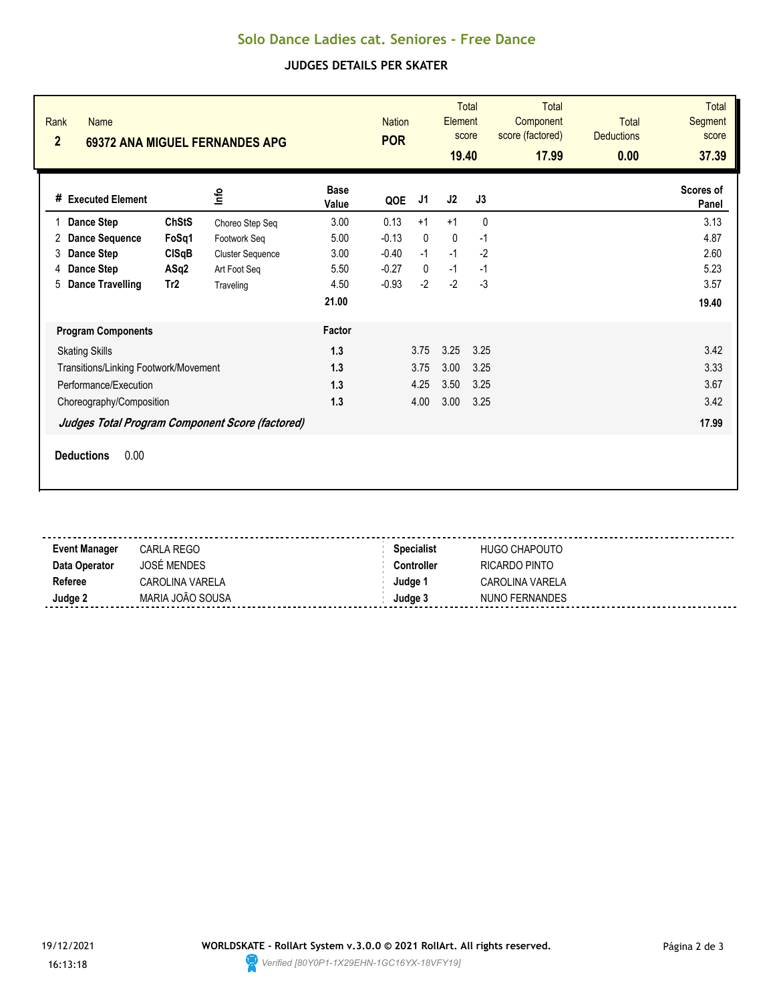### **Solo Dance Ladies cat. Seniores - Free Dance**

### **JUDGES DETAILS PER SKATER**

| Rank<br><b>Name</b><br>$\overline{2}$                                                                                                            |                                               | <b>69372 ANA MIGUEL FERNANDES APG</b>                                                   |                                               | <b>Nation</b><br><b>POR</b>                      |                                           | Element<br>19.40                  | <b>Total</b><br>score                     | <b>Total</b><br>Component<br>score (factored)<br>17.99 | <b>Total</b><br><b>Deductions</b><br>0.00 | <b>Total</b><br>Segment<br>score<br>37.39     |
|--------------------------------------------------------------------------------------------------------------------------------------------------|-----------------------------------------------|-----------------------------------------------------------------------------------------|-----------------------------------------------|--------------------------------------------------|-------------------------------------------|-----------------------------------|-------------------------------------------|--------------------------------------------------------|-------------------------------------------|-----------------------------------------------|
| # Executed Element                                                                                                                               |                                               | ۴ų                                                                                      | <b>Base</b><br>Value                          | QOE                                              | J1                                        | J2                                | J3                                        |                                                        |                                           | Scores of<br>Panel                            |
| Dance Step<br><b>Dance Sequence</b><br>2<br><b>Dance Step</b><br>3<br><b>Dance Step</b><br>4<br><b>Dance Travelling</b><br>5                     | <b>ChStS</b><br>FoSq1<br>ClSqB<br>ASq2<br>Tr2 | Choreo Step Seq<br>Footwork Seq<br><b>Cluster Sequence</b><br>Art Foot Seq<br>Traveling | 3.00<br>5.00<br>3.00<br>5.50<br>4.50<br>21.00 | 0.13<br>$-0.13$<br>$-0.40$<br>$-0.27$<br>$-0.93$ | $+1$<br>0<br>$-1$<br>$\mathbf{0}$<br>$-2$ | $+1$<br>0<br>$-1$<br>$-1$<br>$-2$ | $\mathbf 0$<br>$-1$<br>$-2$<br>$-1$<br>-3 |                                                        |                                           | 3.13<br>4.87<br>2.60<br>5.23<br>3.57<br>19.40 |
| <b>Program Components</b><br><b>Skating Skills</b><br>Transitions/Linking Footwork/Movement<br>Performance/Execution<br>Choreography/Composition |                                               | Judges Total Program Component Score (factored)                                         | Factor<br>1.3<br>1.3<br>1.3<br>1.3            |                                                  | 3.75<br>3.75<br>4.25<br>4.00              | 3.25<br>3.00<br>3.50<br>3.00      | 3.25<br>3.25<br>3.25<br>3.25              |                                                        |                                           | 3.42<br>3.33<br>3.67<br>3.42<br>17.99         |
| 0.00<br><b>Deductions</b>                                                                                                                        |                                               |                                                                                         |                                               |                                                  |                                           |                                   |                                           |                                                        |                                           |                                               |

| <b>Event Manager</b> | <b>CARLA REGO</b>  | <b>Specialist</b> | <b>HUGO CHAPOUTO</b> |
|----------------------|--------------------|-------------------|----------------------|
| Data Operator        | <b>JOSÉ MENDES</b> | Controller        | RICARDO PINTO        |
| Referee              | CAROLINA VARELA    | Judge '           | CAROLINA VARELA      |
| Judge 2              | MARIA JOÃO SOUSA   | Judge 3           | NUNO FERNANDES       |
|                      |                    |                   |                      |